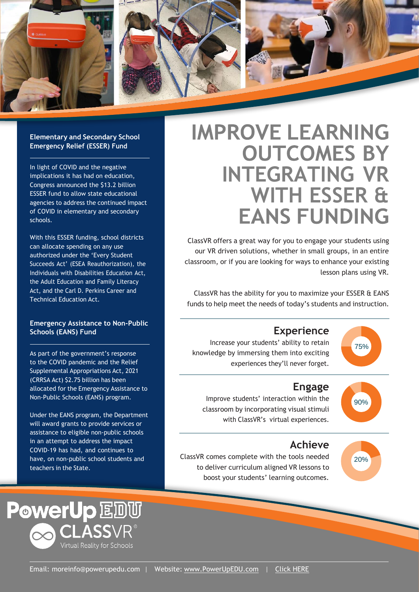

#### **Elementary and Secondary School Emergency Relief (ESSER) Fund**

In light of COVID and the negative implications it has had on education, Congress announced the \$13.2 billion ESSER fund to allow state educational agencies to address the continued impact of COVID in elementary and secondary schools.

With this ESSER funding, school districts can allocate spending on any use authorized under the 'Every Student Succeeds Act' (ESEA Reauthorization), the Individuals with Disabilities Education Act, the Adult Education and Family Literacy Act, and the Carl D. Perkins Career and Technical Education Act.

### **Emergency Assistance to Non-Public Schools (EANS) Fund**

As part of the government's response to the COVID pandemic and the Relief Supplemental Appropriations Act, 2021 (CRRSA Act) \$2.75 billion has been allocated for the Emergency Assistance to Non-Public Schools (EANS) program.

Under the EANS program, the Department will award grants to provide services or assistance to eligible non-public schools in an attempt to address the impact COVID-19 has had, and continues to have, on non-public school students and teachers in the State.



## **IMPROVE LEARNING OUTCOMES BY INTEGRATING VR WITH ESSER &**

ClassVR offers a great way for you to engage your students using our VR driven solutions, whether in small groups, in an entire classroom, or if you are looking for ways to enhance your existing lesson plans using VR.

ClassVR has the ability for you to maximize your ESSER & EANS funds to help meet the needs of today's students and instruction.

### **Experience**

Increase your students' ability to retain knowledge by immersing them into exciting experiences they'll never forget.



75%

### **Engage**

Improve students' interaction within the classroom by incorporating visual stimuli with ClassVR's virtual experiences.



### **Achieve**

ClassVR comes complete with the tools needed to deliver curriculum aligned VR lessons to boost your students' learning outcomes.